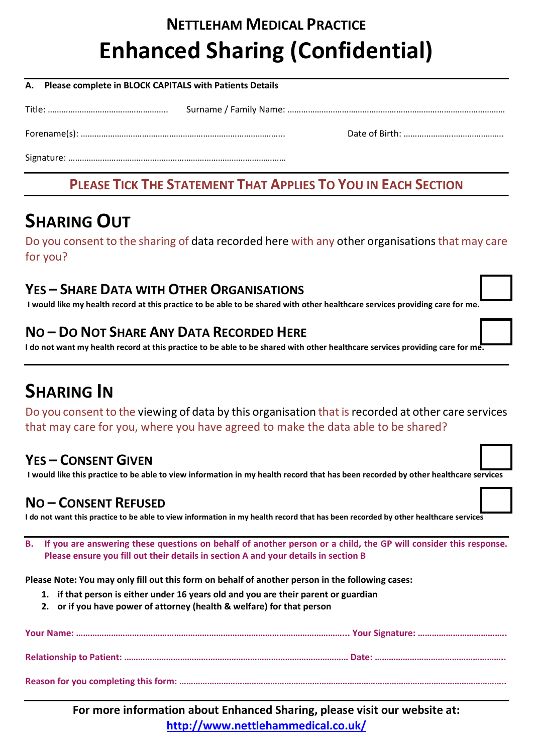# NETTLEHAM MEDICAL PRACTICE Enhanced Sharing (Confidential)

| A. Please complete in BLOCK CAPITALS with Patients Details |  |  |  |
|------------------------------------------------------------|--|--|--|
|                                                            |  |  |  |
|                                                            |  |  |  |
|                                                            |  |  |  |

### PLEASE TICK THE STATEMENT THAT APPLIES TO YOU IN EACH SECTION

## SHARING OUT

Do you consent to the sharing of data recorded here with any other organisations that may care for you?

#### YES – SHARE DATA WITH OTHER ORGANISATIONS

I would like my health record at this practice to be able to be shared with other healthcare services providing care for me.

#### NO – DO NOT SHARE ANY DATA RECORDED HERE

I do not want my health record at this practice to be able to be shared with other healthcare services providing care for me.

## SHARING IN

Do you consent to the viewing of data by this organisation that is recorded at other care services that may care for you, where you have agreed to make the data able to be shared?

### YES – CONSENT GIVEN

I would like this practice to be able to view information in my health record that has been recorded by other healthcare services

#### NO – CONSENT REFUSED

I do not want this practice to be able to view information in my health record that has been recorded by other healthcare services

B. If you are answering these questions on behalf of another person or a child, the GP will consider this response. Please ensure you fill out their details in section A and your details in section B

Please Note: You may only fill out this form on behalf of another person in the following cases:

- 1. if that person is either under 16 years old and you are their parent or guardian
- 2. or if you have power of attorney (health & welfare) for that person

For more information about Enhanced Sharing, please visit our website at: http://www.nettlehammedical.co.uk/